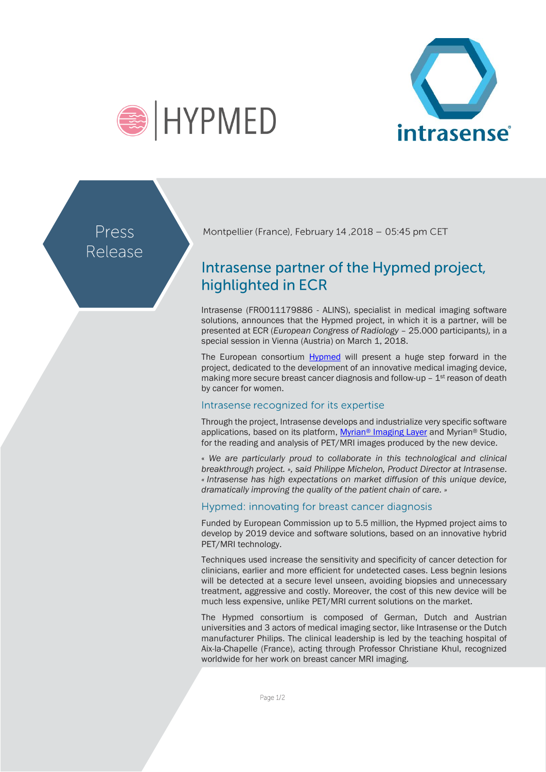



Press Release

Montpellier (France), February 14, 2018 - 05:45 pm CET

# Intrasense partner of the Hypmed project, highlighted in ECR

Intrasense (FR0011179886 - ALINS), specialist in medical imaging software solutions, announces that the Hypmed project, in which it is a partner, will be presented at ECR (*European Congress of Radiology* – 25.000 participants*),* in a special session in Vienna (Austria) on March 1, 2018.

The European consortium [Hypmed](http://www.hypmed.eu/) will present a huge step forward in the project, dedicated to the development of an innovative medical imaging device, making more secure breast cancer diagnosis and follow-up  $-1<sup>st</sup>$  reason of death by cancer for women.

## Intrasense recognized for its expertise

Through the project, Intrasense develops and industrialize very specific software applications, based on its platform, Myrian® [Imaging Layer](http://www.intrasense.fr/fr/myrian/) and Myrian® Studio, for the reading and analysis of PET/MRI images produced by the new device.

« *We are particularly proud to collaborate in this technological and clinical breakthrough project. », said Philippe Michelon, Product Director at Intrasense*. *« Intrasense has high expectations on market diffusion of this unique device, dramatically improving the quality of the patient chain of care. »*

## Hypmed: innovating for breast cancer diagnosis

Funded by European Commission up to 5.5 million, the Hypmed project aims to develop by 2019 device and software solutions, based on an innovative hybrid PET/MRI technology.

Techniques used increase the sensitivity and specificity of cancer detection for clinicians, earlier and more efficient for undetected cases. Less begnin lesions will be detected at a secure level unseen, avoiding biopsies and unnecessary treatment, aggressive and costly. Moreover, the cost of this new device will be much less expensive, unlike PET/MRI current solutions on the market.

The Hypmed consortium is composed of German, Dutch and Austrian universities and 3 actors of medical imaging sector, like Intrasense or the Dutch manufacturer Philips. The clinical leadership is led by the teaching hospital of Aix-la-Chapelle (France), acting through Professor Christiane Khul, recognized worldwide for her work on breast cancer MRI imaging.